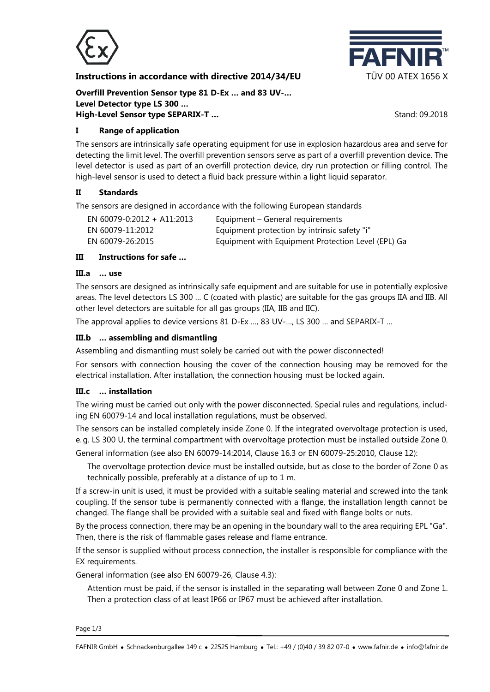

### **Instructions in accordance with directive 2014/34/EU TÜV 00 ATEX 1656 X**



**Overfill Prevention Sensor type 81 D-Ex … and 83 UV-… Level Detector type LS 300 … High-Level Sensor type SEPARIX-T ...** Stand: 09.2018

**I Range of application**

The sensors are intrinsically safe operating equipment for use in explosion hazardous area and serve for detecting the limit level. The overfill prevention sensors serve as part of a overfill prevention device. The level detector is used as part of an overfill protection device, dry run protection or filling control. The high-level sensor is used to detect a fluid back pressure within a light liquid separator.

## **II Standards**

The sensors are designed in accordance with the following European standards

| EN 60079-0:2012 + A11:2013 | Equipment – General requirements                   |
|----------------------------|----------------------------------------------------|
| EN 60079-11:2012           | Equipment protection by intrinsic safety "i"       |
| EN 60079-26:2015           | Equipment with Equipment Protection Level (EPL) Ga |

## **III Instructions for safe …**

### **III.a … use**

The sensors are designed as intrinsically safe equipment and are suitable for use in potentially explosive areas. The level detectors LS 300 … C (coated with plastic) are suitable for the gas groups IIA and IIB. All other level detectors are suitable for all gas groups (IIA, IIB and IIC).

The approval applies to device versions 81 D-Ex …, 83 UV-…, LS 300 … and SEPARIX-T …

## **III.b … assembling and dismantling**

Assembling and dismantling must solely be carried out with the power disconnected!

For sensors with connection housing the cover of the connection housing may be removed for the electrical installation. After installation, the connection housing must be locked again.

## **III.c … installation**

The wiring must be carried out only with the power disconnected. Special rules and regulations, including EN 60079-14 and local installation regulations, must be observed.

The sensors can be installed completely inside Zone 0. If the integrated overvoltage protection is used, e.g. LS 300 U, the terminal compartment with overvoltage protection must be installed outside Zone 0.

General information (see also EN 60079-14:2014, Clause 16.3 or EN 60079-25:2010, Clause 12):

The overvoltage protection device must be installed outside, but as close to the border of Zone 0 as technically possible, preferably at a distance of up to 1 m.

If a screw-in unit is used, it must be provided with a suitable sealing material and screwed into the tank coupling. If the sensor tube is permanently connected with a flange, the installation length cannot be changed. The flange shall be provided with a suitable seal and fixed with flange bolts or nuts.

By the process connection, there may be an opening in the boundary wall to the area requiring EPL "Ga". Then, there is the risk of flammable gases release and flame entrance.

If the sensor is supplied without process connection, the installer is responsible for compliance with the EX requirements.

General information (see also EN 60079-26, Clause 4.3):

Attention must be paid, if the sensor is installed in the separating wall between Zone 0 and Zone 1. Then a protection class of at least IP66 or IP67 must be achieved after installation.

Page 1/3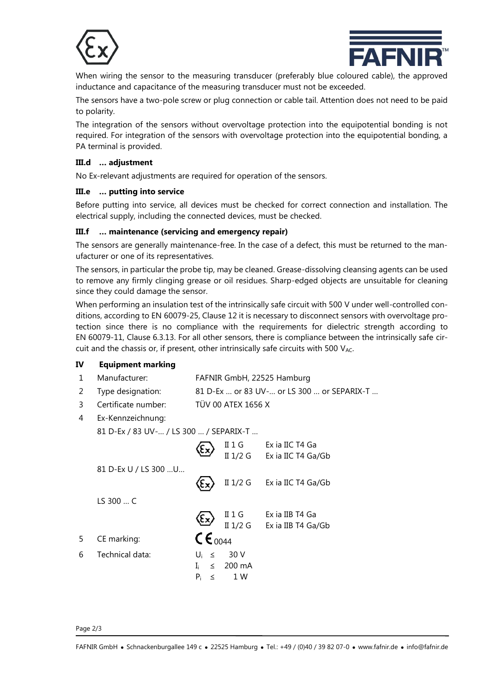



When wiring the sensor to the measuring transducer (preferably blue coloured cable), the approved inductance and capacitance of the measuring transducer must not be exceeded.

The sensors have a two-pole screw or plug connection or cable tail. Attention does not need to be paid to polarity.

The integration of the sensors without overvoltage protection into the equipotential bonding is not required. For integration of the sensors with overvoltage protection into the equipotential bonding, a PA terminal is provided.

#### **III.d … adjustment**

No Ex-relevant adjustments are required for operation of the sensors.

#### **III.e … putting into service**

Before putting into service, all devices must be checked for correct connection and installation. The electrical supply, including the connected devices, must be checked.

### **III.f … maintenance (servicing and emergency repair)**

The sensors are generally maintenance-free. In the case of a defect, this must be returned to the manufacturer or one of its representatives.

The sensors, in particular the probe tip, may be cleaned. Grease-dissolving cleansing agents can be used to remove any firmly clinging grease or oil residues. Sharp-edged objects are unsuitable for cleaning since they could damage the sensor.

When performing an insulation test of the intrinsically safe circuit with 500 V under well-controlled conditions, according to EN 60079-25, Clause 12 it is necessary to disconnect sensors with overvoltage protection since there is no compliance with the requirements for dielectric strength according to EN 60079-11, Clause 6.3.13. For all other sensors, there is compliance between the intrinsically safe circuit and the chassis or, if present, other intrinsically safe circuits with 500  $V_{AC}$ .

## **IV Equipment marking**

- 1 Manufacturer: FAFNIR GmbH, 22525 Hamburg
- 2 Type designation: 81 D-Ex … or 83 UV-… or LS 300 … or SEPARIX-T …
- 3 Certificate number: TÜV 00 ATEX 1656 X
- 4 Ex-Kennzeichnung:

81 D-Ex / 83 UV-… / LS 300 … / SEPARIX-T …

|   |                      |                      | $II$ 1 G<br>II 1/2 G  | Ex ia IIC T4 Ga<br>Ex ia IIC T4 Ga/Gb |
|---|----------------------|----------------------|-----------------------|---------------------------------------|
|   | 81 D-Ex U / LS 300 U |                      |                       | II 1/2 G Exia IIC T4 Ga/Gb            |
|   | LS 300C              |                      |                       |                                       |
|   |                      | Eχ                   | $II$ 1 G              | Ex ia IIB T4 Ga                       |
|   |                      |                      |                       | II 1/2 G Exia IIB T4 Ga/Gb            |
| 5 | CE marking:          | $\mathsf{CE}_{0044}$ |                       |                                       |
| 6 | Technical data:      | $U_i \leq$           | 30 V                  |                                       |
|   |                      | $\mathbf{I}$         | $\leq 200 \text{ mA}$ |                                       |
|   |                      | $P_i$<br>$\leq$      | 1 W                   |                                       |

Page 2/3